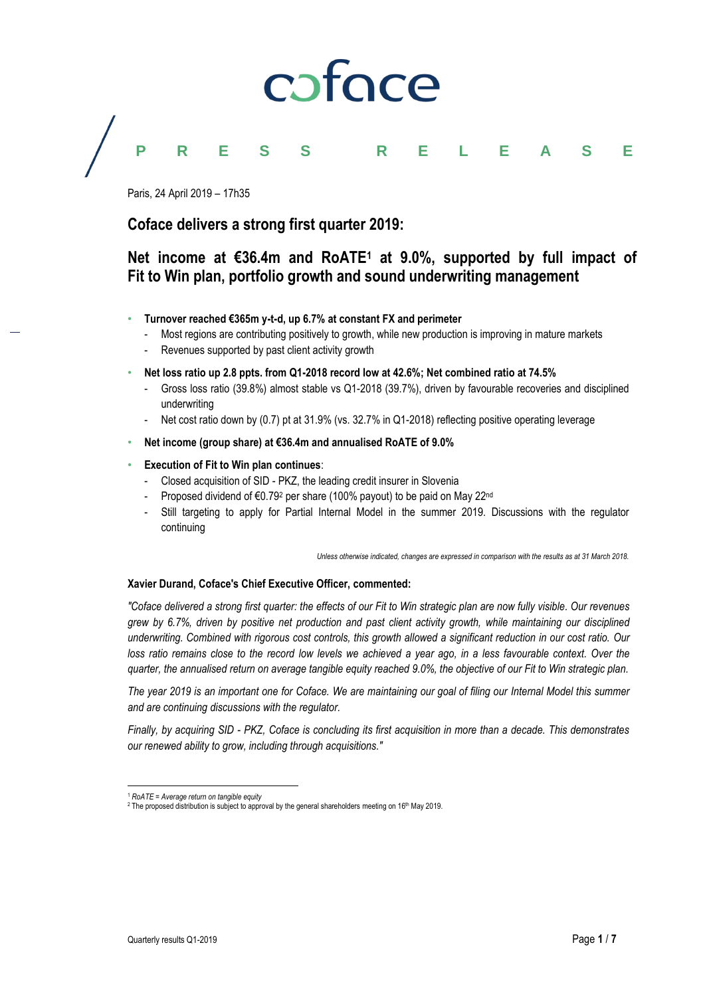

### **PRESS RELEASE**

Paris, 24 April 2019 – 17h35

**Coface delivers a strong first quarter 2019:**

### **Net income at €36.4m and RoATE<sup>1</sup> at 9.0%, supported by full impact of Fit to Win plan, portfolio growth and sound underwriting management**

- **Turnover reached €365m y-t-d, up 6.7% at constant FX and perimeter**
	- Most regions are contributing positively to growth, while new production is improving in mature markets
	- Revenues supported by past client activity growth
- **Net loss ratio up 2.8 ppts. from Q1-2018 record low at 42.6%; Net combined ratio at 74.5%**
	- Gross loss ratio (39.8%) almost stable vs Q1-2018 (39.7%), driven by favourable recoveries and disciplined underwriting
	- Net cost ratio down by (0.7) pt at 31.9% (vs. 32.7% in Q1-2018) reflecting positive operating leverage
- **Net income (group share) at €36.4m and annualised RoATE of 9.0%**
- **Execution of Fit to Win plan continues**:
	- Closed acquisition of SID PKZ, the leading credit insurer in Slovenia
	- Proposed dividend of €0.79<sup>2</sup> per share (100% payout) to be paid on May 22<sup>nd</sup>
	- Still targeting to apply for Partial Internal Model in the summer 2019. Discussions with the regulator continuing

*Unless otherwise indicated, changes are expressed in comparison with the results as at 31 March 2018.*

#### **Xavier Durand, Coface's Chief Executive Officer, commented:**

*"Coface delivered a strong first quarter: the effects of our Fit to Win strategic plan are now fully visible. Our revenues grew by 6.7%, driven by positive net production and past client activity growth, while maintaining our disciplined underwriting. Combined with rigorous cost controls, this growth allowed a significant reduction in our cost ratio. Our*  loss ratio remains close to the record low levels we achieved a year ago, in a less favourable context. Over the *quarter, the annualised return on average tangible equity reached 9.0%, the objective of our Fit to Win strategic plan.*

*The year 2019 is an important one for Coface. We are maintaining our goal of filing our Internal Model this summer and are continuing discussions with the regulator.* 

*Finally, by acquiring SID - PKZ, Coface is concluding its first acquisition in more than a decade. This demonstrates our renewed ability to grow, including through acquisitions."*

 $\overline{a}$ 

<sup>1</sup> *RoATE = Average return on tangible equity*

<sup>&</sup>lt;sup>2</sup> The proposed distribution is subject to approval by the general shareholders meeting on 16<sup>th</sup> May 2019.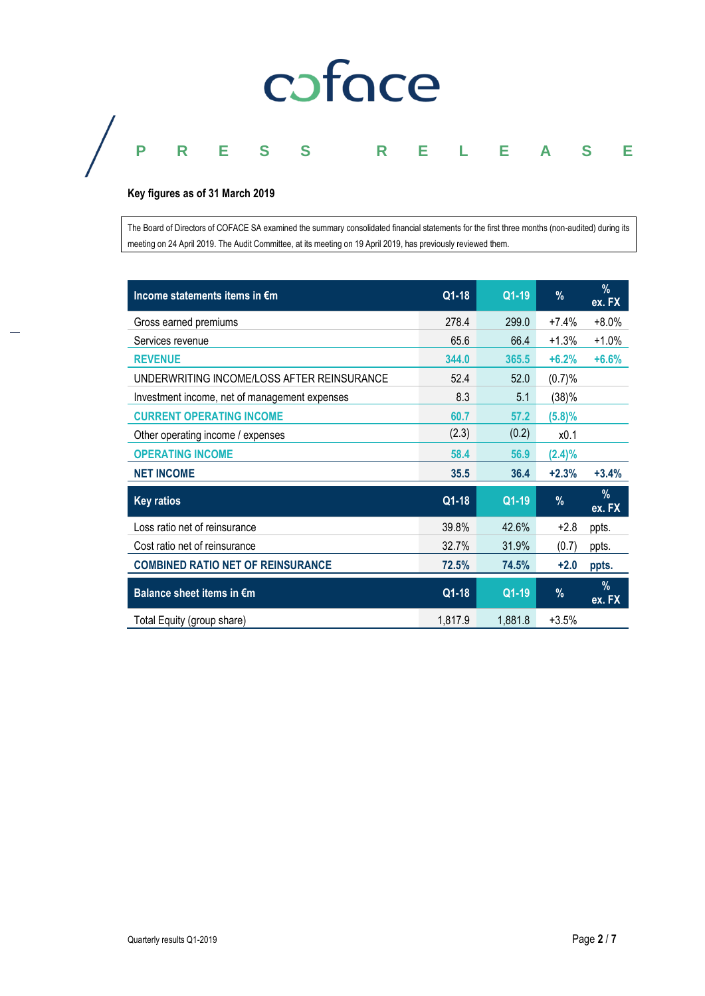# coface

## **PRESS RELEASE**

#### **Key figures as of 31 March 2019**

The Board of Directors of COFACE SA examined the summary consolidated financial statements for the first three months (non-audited) during its meeting on 24 April 2019. The Audit Committee, at its meeting on 19 April 2019, has previously reviewed them.

| Income statements items in €m                 | Q1-18   | Q1-19   | %         | $\%$<br>ex. FX |
|-----------------------------------------------|---------|---------|-----------|----------------|
| Gross earned premiums                         | 278.4   | 299.0   | $+7.4%$   | $+8.0%$        |
| Services revenue                              | 65.6    | 66.4    | $+1.3%$   | $+1.0%$        |
| <b>REVENUE</b>                                | 344.0   | 365.5   | $+6.2%$   | $+6.6%$        |
| UNDERWRITING INCOME/LOSS AFTER REINSURANCE    | 52.4    | 52.0    | (0.7)%    |                |
| Investment income, net of management expenses | 8.3     | 5.1     | (38)%     |                |
| <b>CURRENT OPERATING INCOME</b>               | 60.7    | 57.2    | (5.8)%    |                |
| Other operating income / expenses             | (2.3)   | (0.2)   | x0.1      |                |
| <b>OPERATING INCOME</b>                       | 58.4    | 56.9    | $(2.4)\%$ |                |
| <b>NET INCOME</b>                             | 35.5    | 36.4    | $+2.3%$   | $+3.4%$        |
| <b>Key ratios</b>                             | $Q1-18$ | Q1-19   | %         | $\%$<br>ex. FX |
| Loss ratio net of reinsurance                 | 39.8%   | 42.6%   | $+2.8$    | ppts.          |
| Cost ratio net of reinsurance                 | 32.7%   | 31.9%   | (0.7)     | ppts.          |
| <b>COMBINED RATIO NET OF REINSURANCE</b>      | 72.5%   | 74.5%   | $+2.0$    | ppts.          |
| Balance sheet items in €m                     | Q1-18   | Q1-19   | %         | $\%$<br>ex. FX |
| Total Equity (group share)                    | 1,817.9 | 1,881.8 | $+3.5%$   |                |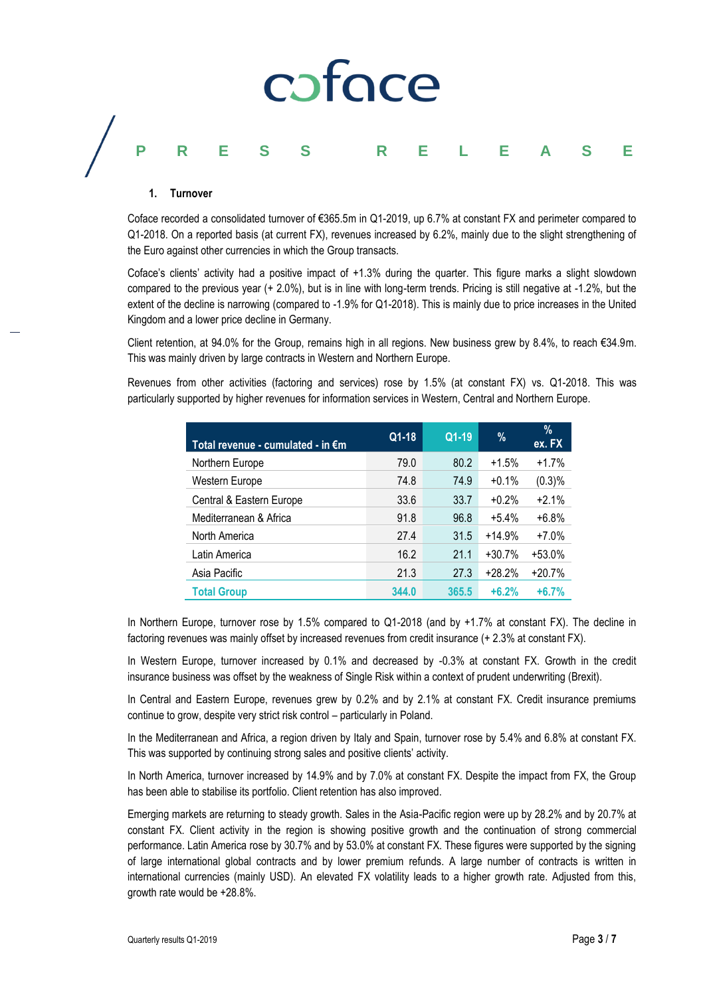# caface **PRESS RELEASE**

#### **1. Turnover**

Coface recorded a consolidated turnover of €365.5m in Q1-2019, up 6.7% at constant FX and perimeter compared to Q1-2018. On a reported basis (at current FX), revenues increased by 6.2%, mainly due to the slight strengthening of the Euro against other currencies in which the Group transacts.

Coface's clients' activity had a positive impact of +1.3% during the quarter. This figure marks a slight slowdown compared to the previous year (+ 2.0%), but is in line with long-term trends. Pricing is still negative at -1.2%, but the extent of the decline is narrowing (compared to -1.9% for Q1-2018). This is mainly due to price increases in the United Kingdom and a lower price decline in Germany.

Client retention, at 94.0% for the Group, remains high in all regions. New business grew by 8.4%, to reach €34.9m. This was mainly driven by large contracts in Western and Northern Europe.

Revenues from other activities (factoring and services) rose by 1.5% (at constant FX) vs. Q1-2018. This was particularly supported by higher revenues for information services in Western, Central and Northern Europe.

| Total revenue - cumulated - in €m | Q1-18 | $Q1-19$ | %        | $\%$<br>ex. FX |  |
|-----------------------------------|-------|---------|----------|----------------|--|
| Northern Europe                   | 79.0  | 80.2    | $+1.5%$  | $+1.7%$        |  |
| Western Europe                    | 74.8  | 74.9    | $+0.1%$  | (0.3)%         |  |
| Central & Eastern Europe          | 33.6  | 33.7    | $+0.2%$  | $+2.1%$        |  |
| Mediterranean & Africa            | 91.8  | 96.8    | $+5.4%$  | $+6.8%$        |  |
| North America                     | 27.4  | 31.5    | $+14.9%$ | $+7.0%$        |  |
| Latin America                     | 16.2  | 21.1    | $+30.7%$ | $+53.0%$       |  |
| Asia Pacific                      | 21.3  | 27.3    | $+28.2%$ | $+20.7%$       |  |
| <b>Total Group</b>                | 344.0 | 365.5   | $+6.2%$  | $+6.7%$        |  |

In Northern Europe, turnover rose by 1.5% compared to Q1-2018 (and by +1.7% at constant FX). The decline in factoring revenues was mainly offset by increased revenues from credit insurance (+ 2.3% at constant FX).

In Western Europe, turnover increased by 0.1% and decreased by -0.3% at constant FX. Growth in the credit insurance business was offset by the weakness of Single Risk within a context of prudent underwriting (Brexit).

In Central and Eastern Europe, revenues grew by 0.2% and by 2.1% at constant FX. Credit insurance premiums continue to grow, despite very strict risk control – particularly in Poland.

In the Mediterranean and Africa, a region driven by Italy and Spain, turnover rose by 5.4% and 6.8% at constant FX. This was supported by continuing strong sales and positive clients' activity.

In North America, turnover increased by 14.9% and by 7.0% at constant FX. Despite the impact from FX, the Group has been able to stabilise its portfolio. Client retention has also improved.

Emerging markets are returning to steady growth. Sales in the Asia-Pacific region were up by 28.2% and by 20.7% at constant FX. Client activity in the region is showing positive growth and the continuation of strong commercial performance. Latin America rose by 30.7% and by 53.0% at constant FX. These figures were supported by the signing of large international global contracts and by lower premium refunds. A large number of contracts is written in international currencies (mainly USD). An elevated FX volatility leads to a higher growth rate. Adjusted from this, growth rate would be +28.8%.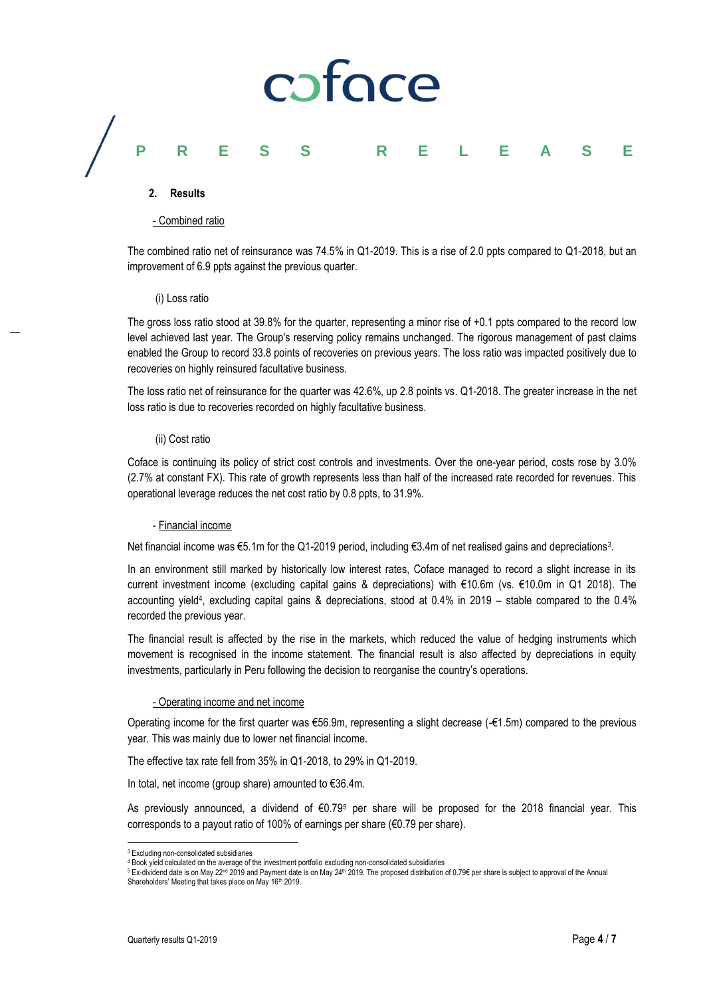# caface

### **PRESS RELEASE**

#### **2. Results**

#### - Combined ratio

The combined ratio net of reinsurance was 74.5% in Q1-2019. This is a rise of 2.0 ppts compared to Q1-2018, but an improvement of 6.9 ppts against the previous quarter.

#### (i) Loss ratio

The gross loss ratio stood at 39.8% for the quarter, representing a minor rise of +0.1 ppts compared to the record low level achieved last year. The Group's reserving policy remains unchanged. The rigorous management of past claims enabled the Group to record 33.8 points of recoveries on previous years. The loss ratio was impacted positively due to recoveries on highly reinsured facultative business.

The loss ratio net of reinsurance for the quarter was 42.6%, up 2.8 points vs. Q1-2018. The greater increase in the net loss ratio is due to recoveries recorded on highly facultative business.

#### (ii) Cost ratio

Coface is continuing its policy of strict cost controls and investments. Over the one-year period, costs rose by 3.0% (2.7% at constant FX). This rate of growth represents less than half of the increased rate recorded for revenues. This operational leverage reduces the net cost ratio by 0.8 ppts, to 31.9%.

#### - Financial income

Net financial income was €5.1m for the Q1-2019 period, including €3.4m of net realised gains and depreciations<sup>3</sup> .

In an environment still marked by historically low interest rates, Coface managed to record a slight increase in its current investment income (excluding capital gains & depreciations) with €10.6m (vs. €10.0m in Q1 2018). The accounting yield<sup>4</sup> , excluding capital gains & depreciations, stood at 0.4% in 2019 – stable compared to the 0.4% recorded the previous year.

The financial result is affected by the rise in the markets, which reduced the value of hedging instruments which movement is recognised in the income statement. The financial result is also affected by depreciations in equity investments, particularly in Peru following the decision to reorganise the country's operations.

#### - Operating income and net income

Operating income for the first quarter was €56.9m, representing a slight decrease (-€1.5m) compared to the previous year. This was mainly due to lower net financial income.

The effective tax rate fell from 35% in Q1-2018, to 29% in Q1-2019.

In total, net income (group share) amounted to €36.4m.

As previously announced, a dividend of €0.79<sup>5</sup> per share will be proposed for the 2018 financial year. This corresponds to a payout ratio of 100% of earnings per share (€0.79 per share).

 $\overline{a}$ 

<sup>3</sup> Excluding non-consolidated subsidiaries

<sup>4</sup> Book yield calculated on the average of the investment portfolio excluding non-consolidated subsidiaries

<sup>5</sup> Ex-dividend date is on May 22<sup>nd</sup> 2019 and Payment date is on May 24<sup>th</sup> 2019. The proposed distribution of 0.79€ per share is subject to approval of the Annual Shareholders' Meeting that takes place on May 16th 2019.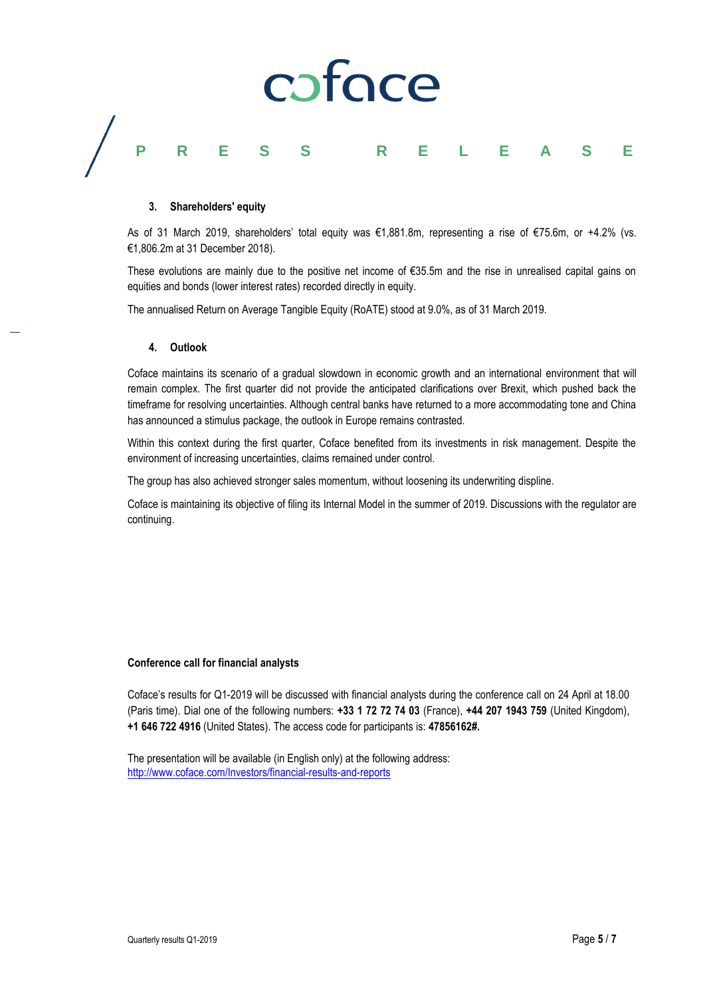# coface **PRESS RELEASE**

#### **3. Shareholders' equity**

As of 31 March 2019, shareholders' total equity was €1,881.8m, representing a rise of €75.6m, or +4.2% (vs. €1,806.2m at 31 December 2018).

These evolutions are mainly due to the positive net income of €35.5m and the rise in unrealised capital gains on equities and bonds (lower interest rates) recorded directly in equity.

The annualised Return on Average Tangible Equity (RoATE) stood at 9.0%, as of 31 March 2019.

#### **4. Outlook**

Coface maintains its scenario of a gradual slowdown in economic growth and an international environment that will remain complex. The first quarter did not provide the anticipated clarifications over Brexit, which pushed back the timeframe for resolving uncertainties. Although central banks have returned to a more accommodating tone and China has announced a stimulus package, the outlook in Europe remains contrasted.

Within this context during the first quarter, Coface benefited from its investments in risk management. Despite the environment of increasing uncertainties, claims remained under control.

The group has also achieved stronger sales momentum, without loosening its underwriting displine.

Coface is maintaining its objective of filing its Internal Model in the summer of 2019. Discussions with the regulator are continuing.

#### **Conference call for financial analysts**

Coface's results for Q1-2019 will be discussed with financial analysts during the conference call on 24 April at 18.00 (Paris time). Dial one of the following numbers: **+33 1 72 72 74 03** (France), **+44 207 1943 759** (United Kingdom), **+1 646 722 4916** (United States). The access code for participants is: **47856162#.**

The presentation will be available (in English only) at the following address: <http://www.coface.com/Investors/financial-results-and-reports>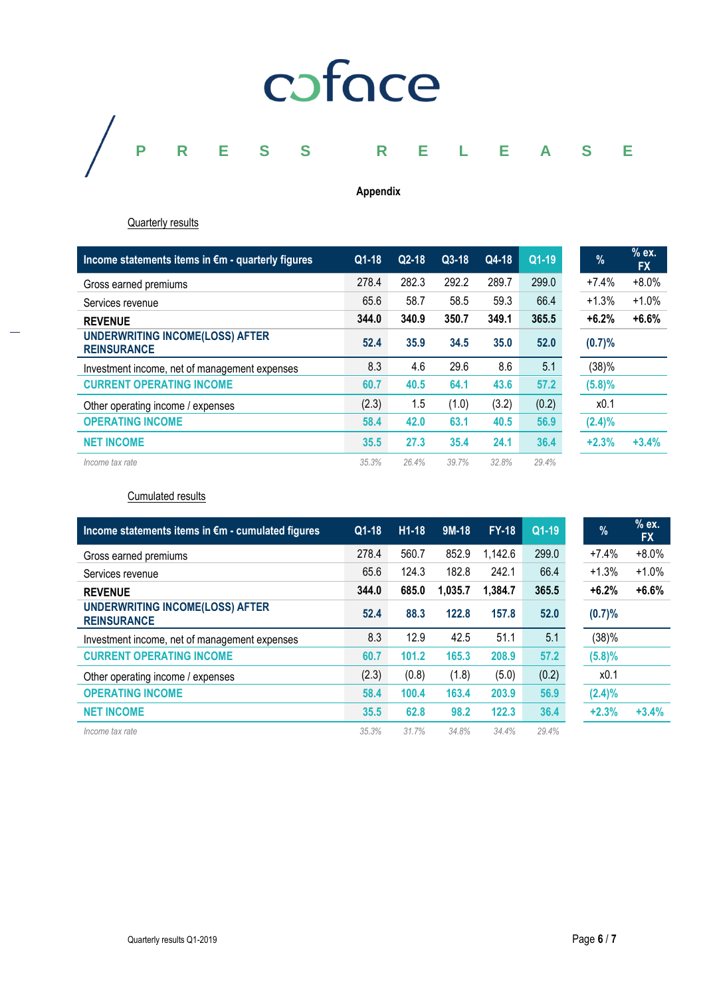

#### **Appendix**

**Quarterly results** 

| Income statements items in $\epsilon$ m - quarterly figures  | $Q1-18$ | $Q2-18$ | $Q3-18$ | Q4-18 | Q1-19 | % |           | % ex.<br><b>FX</b> |
|--------------------------------------------------------------|---------|---------|---------|-------|-------|---|-----------|--------------------|
| Gross earned premiums                                        | 278.4   | 282.3   | 292.2   | 289.7 | 299.0 |   | $+7.4%$   | $+8.0%$            |
| Services revenue                                             | 65.6    | 58.7    | 58.5    | 59.3  | 66.4  |   | $+1.3%$   | $+1.0%$            |
| <b>REVENUE</b>                                               | 344.0   | 340.9   | 350.7   | 349.1 | 365.5 |   | $+6.2%$   | $+6.6%$            |
| <b>UNDERWRITING INCOME(LOSS) AFTER</b><br><b>REINSURANCE</b> | 52.4    | 35.9    | 34.5    | 35.0  | 52.0  |   | (0.7)%    |                    |
| Investment income, net of management expenses                | 8.3     | 4.6     | 29.6    | 8.6   | 5.1   |   | (38)%     |                    |
| <b>CURRENT OPERATING INCOME</b>                              | 60.7    | 40.5    | 64.1    | 43.6  | 57.2  |   | (5.8)%    |                    |
| Other operating income / expenses                            | (2.3)   | 1.5     | (1.0)   | (3.2) | (0.2) |   | x0.1      |                    |
| <b>OPERATING INCOME</b>                                      | 58.4    | 42.0    | 63.1    | 40.5  | 56.9  |   | $(2.4)\%$ |                    |
| <b>NET INCOME</b>                                            | 35.5    | 27.3    | 35.4    | 24.1  | 36.4  |   | $+2.3%$   | $+3.4%$            |
| Income tax rate                                              | 35.3%   | 26.4%   | 39.7%   | 32.8% | 29.4% |   |           |                    |

Cumulated results

| Income statements items in €m - cumulated figures            | $Q1-18$ | $H1-18$ | $9M-18$ | $FY-18$ | $Q1-19$ | $\frac{9}{6}$ | $%$ ex.<br><b>FX</b> |
|--------------------------------------------------------------|---------|---------|---------|---------|---------|---------------|----------------------|
| Gross earned premiums                                        | 278.4   | 560.7   | 852.9   | 1,142.6 | 299.0   | $+7.4%$       | $+8.0\%$             |
| Services revenue                                             | 65.6    | 124.3   | 182.8   | 242.1   | 66.4    | $+1.3%$       | $+1.0%$              |
| <b>REVENUE</b>                                               | 344.0   | 685.0   | 1,035.7 | 1,384.7 | 365.5   | $+6.2%$       | $+6.6%$              |
| <b>UNDERWRITING INCOME(LOSS) AFTER</b><br><b>REINSURANCE</b> | 52.4    | 88.3    | 122.8   | 157.8   | 52.0    | (0.7)%        |                      |
| Investment income, net of management expenses                | 8.3     | 12.9    | 42.5    | 51.1    | 5.1     | (38)%         |                      |
| <b>CURRENT OPERATING INCOME</b>                              | 60.7    | 101.2   | 165.3   | 208.9   | 57.2    | $(5.8)\%$     |                      |
| Other operating income / expenses                            | (2.3)   | (0.8)   | (1.8)   | (5.0)   | (0.2)   | x0.1          |                      |
| <b>OPERATING INCOME</b>                                      | 58.4    | 100.4   | 163.4   | 203.9   | 56.9    | $(2.4)\%$     |                      |
| <b>NET INCOME</b>                                            | 35.5    | 62.8    | 98.2    | 122.3   | 36.4    | $+2.3%$       | $+3.4%$              |
| Income tax rate                                              | 35.3%   | 31.7%   | 34.8%   | 34.4%   | 29.4%   |               |                      |